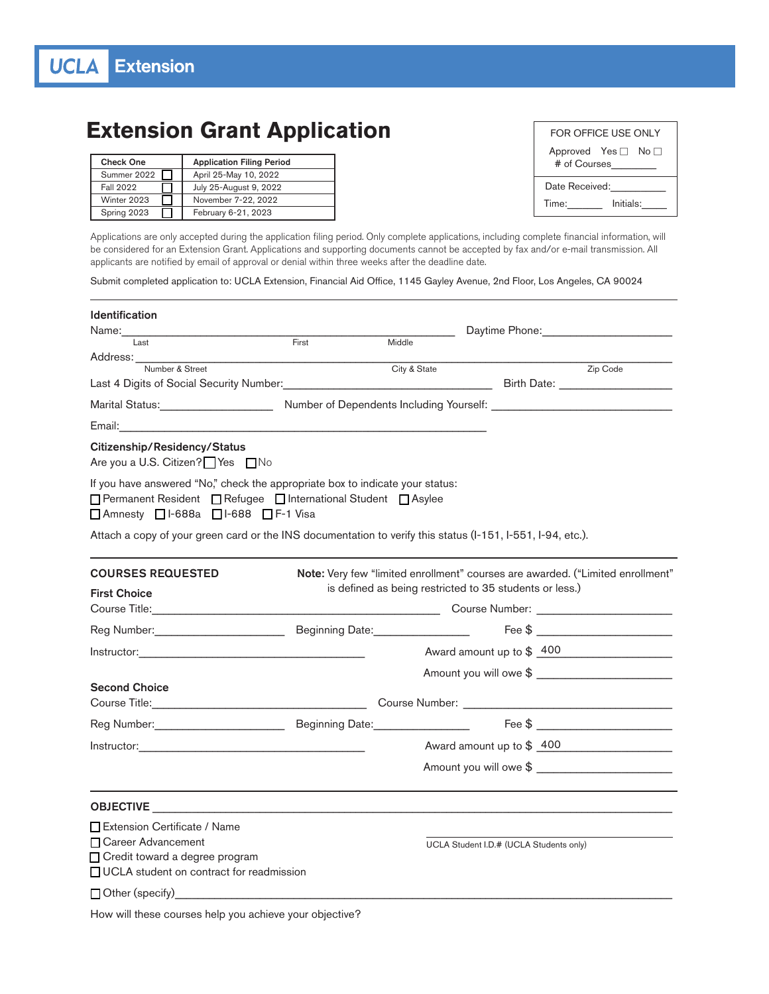## **Extension Grant Application**

| <b>Check One</b> | <b>Application Filing Period</b> |
|------------------|----------------------------------|
| Summer 2022      | April 25-May 10, 2022            |
| <b>Fall 2022</b> | July 25-August 9, 2022           |
| Winter 2023      | November 7-22, 2022              |
| Spring 2023      | February 6-21, 2023              |

| FOR OFFICE USE ONLY                           |           |  |  |  |
|-----------------------------------------------|-----------|--|--|--|
| Approved Yes $\Box$ No $\Box$<br># of Courses |           |  |  |  |
| Date Received:                                |           |  |  |  |
| Time:                                         | Initials: |  |  |  |

Applications are only accepted during the application filing period. Only complete applications, including complete financial information, will be considered for an Extension Grant. Applications and supporting documents cannot be accepted by fax and/or e-mail transmission. All applicants are notified by email of approval or denial within three weeks after the deadline date.

Submit completed application to: UCLA Extension, Financial Aid Office, 1145 Gayley Avenue, 2nd Floor, Los Angeles, CA 90024

| <b>Identification</b>                                                                                                                                                                                                          |       |                                                         |                                                                                                                                                                                                                                                                                                                        |
|--------------------------------------------------------------------------------------------------------------------------------------------------------------------------------------------------------------------------------|-------|---------------------------------------------------------|------------------------------------------------------------------------------------------------------------------------------------------------------------------------------------------------------------------------------------------------------------------------------------------------------------------------|
| Last                                                                                                                                                                                                                           | First | Middle                                                  |                                                                                                                                                                                                                                                                                                                        |
| Address: ___________                                                                                                                                                                                                           |       |                                                         |                                                                                                                                                                                                                                                                                                                        |
| Number & Street                                                                                                                                                                                                                |       | City & State                                            | Zip Code                                                                                                                                                                                                                                                                                                               |
| Last 4 Digits of Social Security Number: Natural Contract Contract Contract Contract Contract Contract Contract Contract Contract Contract Contract Contract Contract Contract Contract Contract Contract Contract Contract Co |       |                                                         |                                                                                                                                                                                                                                                                                                                        |
| Marital Status: Marital Status:                                                                                                                                                                                                |       |                                                         |                                                                                                                                                                                                                                                                                                                        |
|                                                                                                                                                                                                                                |       |                                                         |                                                                                                                                                                                                                                                                                                                        |
| Citizenship/Residency/Status<br>Are you a U.S. Citizen? Yes □ No                                                                                                                                                               |       |                                                         |                                                                                                                                                                                                                                                                                                                        |
| If you have answered "No," check the appropriate box to indicate your status:<br>□ Permanent Resident □ Refugee □ International Student □ Asylee<br>□ Amnesty □ I-688a □ I-688 □ F-1 Visa                                      |       |                                                         |                                                                                                                                                                                                                                                                                                                        |
| Attach a copy of your green card or the INS documentation to verify this status (I-151, I-551, I-94, etc.).                                                                                                                    |       |                                                         |                                                                                                                                                                                                                                                                                                                        |
| <b>COURSES REQUESTED</b>                                                                                                                                                                                                       |       |                                                         | Note: Very few "limited enrollment" courses are awarded. ("Limited enrollment"                                                                                                                                                                                                                                         |
| <b>First Choice</b>                                                                                                                                                                                                            |       | is defined as being restricted to 35 students or less.) |                                                                                                                                                                                                                                                                                                                        |
|                                                                                                                                                                                                                                |       |                                                         |                                                                                                                                                                                                                                                                                                                        |
| Reg Number: Management Communication                                                                                                                                                                                           |       | Beginning Date:__________________                       | Fee \$                                                                                                                                                                                                                                                                                                                 |
|                                                                                                                                                                                                                                |       |                                                         | Award amount up to $$400$                                                                                                                                                                                                                                                                                              |
|                                                                                                                                                                                                                                |       |                                                         | Amount you will owe \$                                                                                                                                                                                                                                                                                                 |
| <b>Second Choice</b><br>Course Title: Course Number: Course Number: Course Number: Course Number: Course Title:                                                                                                                |       |                                                         |                                                                                                                                                                                                                                                                                                                        |
| Reg Number: Manual Manual Deginning Date: Manual Date:                                                                                                                                                                         |       |                                                         | Fee $\frac{1}{2}$ $\frac{1}{2}$ $\frac{1}{2}$ $\frac{1}{2}$ $\frac{1}{2}$ $\frac{1}{2}$ $\frac{1}{2}$ $\frac{1}{2}$ $\frac{1}{2}$ $\frac{1}{2}$ $\frac{1}{2}$ $\frac{1}{2}$ $\frac{1}{2}$ $\frac{1}{2}$ $\frac{1}{2}$ $\frac{1}{2}$ $\frac{1}{2}$ $\frac{1}{2}$ $\frac{1}{2}$ $\frac{1}{2}$ $\frac{1}{2}$ $\frac{1}{2$ |
|                                                                                                                                                                                                                                |       |                                                         | Award amount up to \$ 400                                                                                                                                                                                                                                                                                              |
|                                                                                                                                                                                                                                |       |                                                         | Amount you will owe \$                                                                                                                                                                                                                                                                                                 |
| OBJECTIVE <b>SECURE AND SERVICE SERVICE SERVICE</b>                                                                                                                                                                            |       |                                                         |                                                                                                                                                                                                                                                                                                                        |
| □ Extension Certificate / Name<br>□ Career Advancement<br>□ Credit toward a degree program<br>□ UCLA student on contract for readmission                                                                                       |       |                                                         | UCLA Student I.D.# (UCLA Students only)                                                                                                                                                                                                                                                                                |
| Other (specify)                                                                                                                                                                                                                |       |                                                         |                                                                                                                                                                                                                                                                                                                        |

How will these courses help you achieve your objective?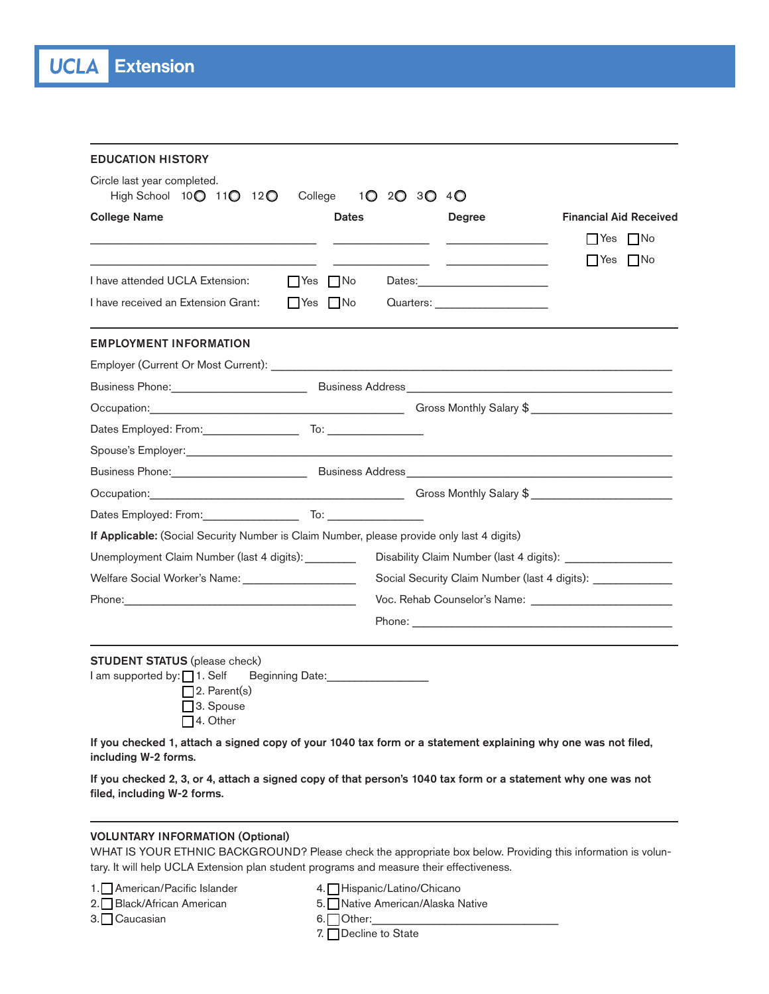| <b>EDUCATION HISTORY</b>                                                                                                                                                                                                                                                                                                                                                                                                                                      |              |                                                             |                               |  |  |
|---------------------------------------------------------------------------------------------------------------------------------------------------------------------------------------------------------------------------------------------------------------------------------------------------------------------------------------------------------------------------------------------------------------------------------------------------------------|--------------|-------------------------------------------------------------|-------------------------------|--|--|
| Circle last year completed.<br>High School 10 011 012 0<br>College                                                                                                                                                                                                                                                                                                                                                                                            | 10 20 30 40  |                                                             |                               |  |  |
| <b>College Name</b>                                                                                                                                                                                                                                                                                                                                                                                                                                           | <b>Dates</b> | Degree                                                      | <b>Financial Aid Received</b> |  |  |
|                                                                                                                                                                                                                                                                                                                                                                                                                                                               |              | the control of the control of the control of                | $\Box$ Yes $\Box$ No          |  |  |
|                                                                                                                                                                                                                                                                                                                                                                                                                                                               |              |                                                             | INo<br>Yes                    |  |  |
| I have attended UCLA Extension:<br>$\Box$ Yes $\Box$ No                                                                                                                                                                                                                                                                                                                                                                                                       |              |                                                             |                               |  |  |
| I have received an Extension Grant:<br>$\Box$ Yes $\Box$ No                                                                                                                                                                                                                                                                                                                                                                                                   |              | Quarters: ______________________                            |                               |  |  |
| <b>EMPLOYMENT INFORMATION</b>                                                                                                                                                                                                                                                                                                                                                                                                                                 |              |                                                             |                               |  |  |
|                                                                                                                                                                                                                                                                                                                                                                                                                                                               |              |                                                             |                               |  |  |
|                                                                                                                                                                                                                                                                                                                                                                                                                                                               |              |                                                             |                               |  |  |
| Occupation: Contract Contract Contract Contract Contract Contract Contract Contract Contract Contract Contract Contract Contract Contract Contract Contract Contract Contract Contract Contract Contract Contract Contract Con                                                                                                                                                                                                                                |              |                                                             |                               |  |  |
| Dates Employed: From: To: To:                                                                                                                                                                                                                                                                                                                                                                                                                                 |              |                                                             |                               |  |  |
| Spouse's Employer: Spouse's Employer Spouse of the Spouse's Employer Spouse's Employer Spouse's Employer Spouse Spouse of the Spouse of the Spouse of the Spouse of the Spouse of the Spouse of the Spouse of the Spouse of th                                                                                                                                                                                                                                |              |                                                             |                               |  |  |
|                                                                                                                                                                                                                                                                                                                                                                                                                                                               |              |                                                             |                               |  |  |
| Occupation: Contract of Contract of Contract of Contract of Contract of Contract of Contract of Contract of Contract of Contract of Contract of Contract of Contract of Contract of Contract of Contract of Contract of Contra                                                                                                                                                                                                                                |              |                                                             |                               |  |  |
|                                                                                                                                                                                                                                                                                                                                                                                                                                                               |              |                                                             |                               |  |  |
| If Applicable: (Social Security Number is Claim Number, please provide only last 4 digits)                                                                                                                                                                                                                                                                                                                                                                    |              |                                                             |                               |  |  |
| Unemployment Claim Number (last 4 digits): ________                                                                                                                                                                                                                                                                                                                                                                                                           |              |                                                             |                               |  |  |
| Welfare Social Worker's Name: _______________________                                                                                                                                                                                                                                                                                                                                                                                                         |              | Social Security Claim Number (last 4 digits): _____________ |                               |  |  |
| Phone: <u>Alexander School (Alexander School)</u>                                                                                                                                                                                                                                                                                                                                                                                                             |              |                                                             |                               |  |  |
|                                                                                                                                                                                                                                                                                                                                                                                                                                                               |              |                                                             |                               |  |  |
| <b>STUDENT STATUS</b> (please check)<br>I am supported by: 1. Self<br>Beginning Date: <b>Example 2014</b><br>$\square$ 2. Parent(s)<br>□3. Spouse<br>$\Box$ 4. Other<br>If you checked 1, attach a signed copy of your 1040 tax form or a statement explaining why one was not filed,<br>including W-2 forms.<br>If you checked 2, 3, or 4, attach a signed copy of that person's 1040 tax form or a statement why one was not<br>filed, including W-2 forms. |              |                                                             |                               |  |  |

## VOLUNTARY INFORMATION (Optional)

WHAT IS YOUR ETHNIC BACKGROUND? Please check the appropriate box below. Providing this information is voluntary. It will help UCLA Extension plan student programs and measure their effectiveness.

1. American/Pacific Islander 4. Hispanic/Latino/Chicano

- 
- 2. Black/African American 6. u Black/African American American 5. under American/Alaska Native
- 3. Caucasian 6. Other:
	-
	- 7. Decline to State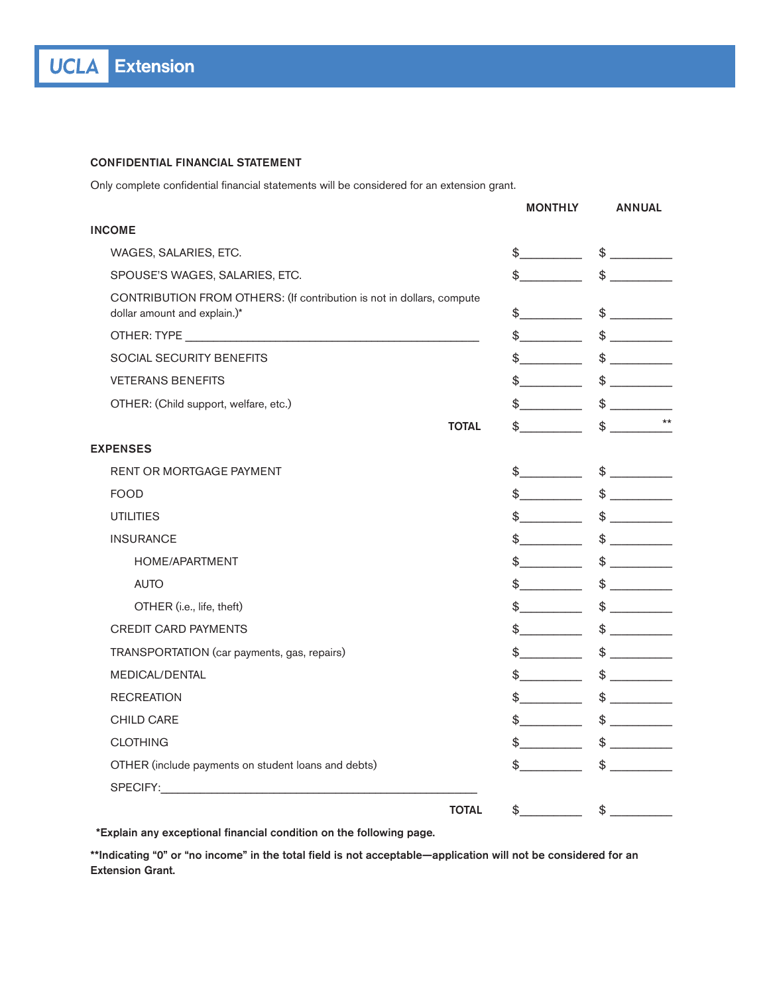## CONFIDENTIAL FINANCIAL STATEMENT

Only complete confidential financial statements will be considered for an extension grant.

|                                                                                                                                                                                                                                | <b>MONTHLY</b>                         | <b>ANNUAL</b>                 |
|--------------------------------------------------------------------------------------------------------------------------------------------------------------------------------------------------------------------------------|----------------------------------------|-------------------------------|
| <b>INCOME</b>                                                                                                                                                                                                                  |                                        |                               |
| WAGES, SALARIES, ETC.                                                                                                                                                                                                          | $\frac{1}{2}$                          |                               |
| SPOUSE'S WAGES, SALARIES, ETC.                                                                                                                                                                                                 | $\frac{1}{2}$                          | $\frac{1}{2}$                 |
| CONTRIBUTION FROM OTHERS: (If contribution is not in dollars, compute<br>dollar amount and explain.)*                                                                                                                          | $\frac{1}{2}$                          | \$                            |
|                                                                                                                                                                                                                                | $\frac{1}{2}$                          | $\frac{1}{2}$                 |
| <b>SOCIAL SECURITY BENEFITS</b>                                                                                                                                                                                                | $\frac{1}{2}$                          | $\frac{1}{2}$                 |
| <b>VETERANS BENEFITS</b>                                                                                                                                                                                                       | $\frac{1}{2}$                          | $$\overbrace{\hspace{2.5cm}}$ |
| OTHER: (Child support, welfare, etc.)                                                                                                                                                                                          | $\frac{1}{2}$                          | $\frac{1}{2}$                 |
| <b>TOTAL</b>                                                                                                                                                                                                                   | $\updownarrow$                         | $\star\star$<br>$\frac{1}{2}$ |
| <b>EXPENSES</b>                                                                                                                                                                                                                |                                        |                               |
| <b>RENT OR MORTGAGE PAYMENT</b>                                                                                                                                                                                                | $\frac{1}{2}$                          | $\frac{1}{2}$                 |
| <b>FOOD</b>                                                                                                                                                                                                                    | $\frac{1}{2}$                          | $\frac{1}{2}$                 |
| <b>UTILITIES</b>                                                                                                                                                                                                               | $\frac{1}{2}$                          | $\frac{1}{2}$                 |
| <b>INSURANCE</b>                                                                                                                                                                                                               | $\frac{1}{2}$                          | $\frac{1}{2}$                 |
| HOME/APARTMENT                                                                                                                                                                                                                 | $\frac{1}{2}$                          | $\updownarrow$                |
| <b>AUTO</b>                                                                                                                                                                                                                    | $\frac{1}{2}$                          | $\frac{1}{2}$                 |
| OTHER (i.e., life, theft)                                                                                                                                                                                                      | $\frac{1}{2}$                          | $\frac{1}{2}$                 |
| <b>CREDIT CARD PAYMENTS</b>                                                                                                                                                                                                    | $\frac{1}{2}$                          | $\frac{1}{2}$                 |
| TRANSPORTATION (car payments, gas, repairs)                                                                                                                                                                                    | $\frac{1}{2}$                          | $\frac{1}{2}$                 |
| <b>MEDICAL/DENTAL</b>                                                                                                                                                                                                          | $\frac{1}{2}$                          | $\frac{1}{2}$                 |
| <b>RECREATION</b>                                                                                                                                                                                                              | $\frac{1}{2}$                          |                               |
| <b>CHILD CARE</b>                                                                                                                                                                                                              | $\frac{1}{2}$                          | $\frac{1}{2}$                 |
| <b>CLOTHING</b>                                                                                                                                                                                                                | $\frac{1}{2}$                          | $\frac{1}{2}$                 |
| OTHER (include payments on student loans and debts)                                                                                                                                                                            | $\mathbb{S}$ . The set of $\mathbb{S}$ | $\frac{1}{2}$                 |
| SPECIFY: And the state of the state of the state of the state of the state of the state of the state of the state of the state of the state of the state of the state of the state of the state of the state of the state of t |                                        |                               |
| <b>TOTAL</b>                                                                                                                                                                                                                   | $\frac{1}{2}$                          | $\frac{1}{2}$                 |

\*Explain any exceptional financial condition on the following page.

\*\*Indicating "0" or "no income" in the total field is not acceptable—application will not be considered for an Extension Grant.